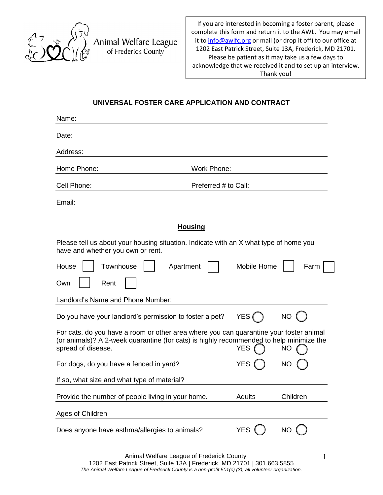

Animal Welfare League of Frederick County

If you are interested in becoming a foster parent, please complete this form and return it to the AWL. You may email it t[o info@awlfc.org](mailto:info@awlfc.org) or mail (or drop it off) to our office at 1202 East Patrick Street, Suite 13A, Frederick, MD 21701. Please be patient as it may take us a few days to acknowledge that we received it and to set up an interview. Thank you!

## **UNIVERSAL FOSTER CARE APPLICATION AND CONTRACT**

| Name:                                                                                                                                                                                                                        |                      |             |      |  |  |
|------------------------------------------------------------------------------------------------------------------------------------------------------------------------------------------------------------------------------|----------------------|-------------|------|--|--|
| Date:                                                                                                                                                                                                                        |                      |             |      |  |  |
| Address:                                                                                                                                                                                                                     |                      |             |      |  |  |
| Home Phone:                                                                                                                                                                                                                  | <b>Work Phone:</b>   |             |      |  |  |
| Cell Phone:                                                                                                                                                                                                                  | Preferred # to Call: |             |      |  |  |
| Email:                                                                                                                                                                                                                       |                      |             |      |  |  |
|                                                                                                                                                                                                                              | <b>Housing</b>       |             |      |  |  |
| Please tell us about your housing situation. Indicate with an X what type of home you<br>have and whether you own or rent.                                                                                                   |                      |             |      |  |  |
| Townhouse<br>House<br>Apartment                                                                                                                                                                                              |                      | Mobile Home | Farm |  |  |
| Own<br>Rent                                                                                                                                                                                                                  |                      |             |      |  |  |
| Landlord's Name and Phone Number:                                                                                                                                                                                            |                      |             |      |  |  |
| NO (<br>YES (<br>Do you have your landlord's permission to foster a pet?                                                                                                                                                     |                      |             |      |  |  |
| For cats, do you have a room or other area where you can quarantine your foster animal<br>(or animals)? A 2-week quarantine (for cats) is highly recommended to help minimize the<br>spread of disease.<br><b>YES</b><br>NO. |                      |             |      |  |  |
| For dogs, do you have a fenced in yard?                                                                                                                                                                                      | <b>YES</b>           | <b>NO</b>   |      |  |  |
| If so, what size and what type of material?                                                                                                                                                                                  |                      |             |      |  |  |
| Provide the number of people living in your home.<br>Children<br>Adults                                                                                                                                                      |                      |             |      |  |  |

Ages of Children

Does anyone have asthma/allergies to animals? YES () NO

 $\overline{\phantom{a}}$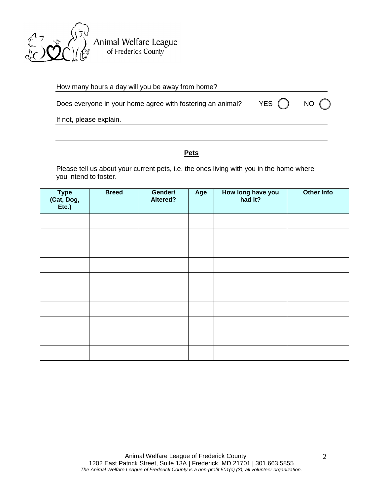

Animal Welfare League<br>of Frederick County

| How many hours a day will you be away from home?           |         |       |
|------------------------------------------------------------|---------|-------|
| Does everyone in your home agree with fostering an animal? | YES ( ) | NO () |
| If not, please explain.                                    |         |       |

## **Pets**

Please tell us about your current pets, i.e. the ones living with you in the home where you intend to foster.

| Type<br>(Cat, Dog,<br>Etc.) | <b>Breed</b> | Gender/<br>Altered? | Age | How long have you<br>had it? | Other Info |
|-----------------------------|--------------|---------------------|-----|------------------------------|------------|
|                             |              |                     |     |                              |            |
|                             |              |                     |     |                              |            |
|                             |              |                     |     |                              |            |
|                             |              |                     |     |                              |            |
|                             |              |                     |     |                              |            |
|                             |              |                     |     |                              |            |
|                             |              |                     |     |                              |            |
|                             |              |                     |     |                              |            |
|                             |              |                     |     |                              |            |
|                             |              |                     |     |                              |            |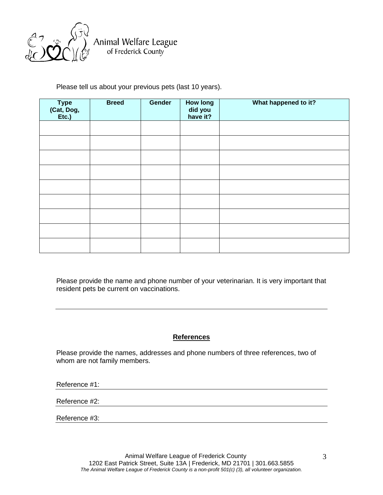

Animal Welfare League<br>of Frederick County

Please tell us about your previous pets (last 10 years).

| Type<br>(Cat, Dog,<br>Etc.) | <b>Breed</b> | Gender | <b>How long</b><br>did you<br>have it? | What happened to it? |
|-----------------------------|--------------|--------|----------------------------------------|----------------------|
|                             |              |        |                                        |                      |
|                             |              |        |                                        |                      |
|                             |              |        |                                        |                      |
|                             |              |        |                                        |                      |
|                             |              |        |                                        |                      |
|                             |              |        |                                        |                      |
|                             |              |        |                                        |                      |
|                             |              |        |                                        |                      |
|                             |              |        |                                        |                      |

Please provide the name and phone number of your veterinarian. It is very important that resident pets be current on vaccinations.

## **References**

Please provide the names, addresses and phone numbers of three references, two of whom are not family members.

Reference #1:

Reference #2:

Reference #3: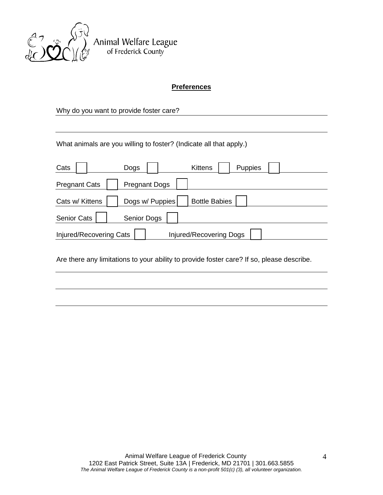

Animal Welfare League<br>of Frederick County

## **Preferences**

Why do you want to provide foster care?

What animals are you willing to foster? (Indicate all that apply.)

| Cats                                                      | Dogs                 | <b>Kittens</b>       | Puppies |  |  |
|-----------------------------------------------------------|----------------------|----------------------|---------|--|--|
| <b>Pregnant Cats</b>                                      | <b>Pregnant Dogs</b> |                      |         |  |  |
| Cats w/ Kittens                                           | Dogs w/ Puppies      | <b>Bottle Babies</b> |         |  |  |
| <b>Senior Cats</b>                                        | Senior Dogs          |                      |         |  |  |
| <b>Injured/Recovering Dogs</b><br>Injured/Recovering Cats |                      |                      |         |  |  |

Are there any limitations to your ability to provide foster care? If so, please describe.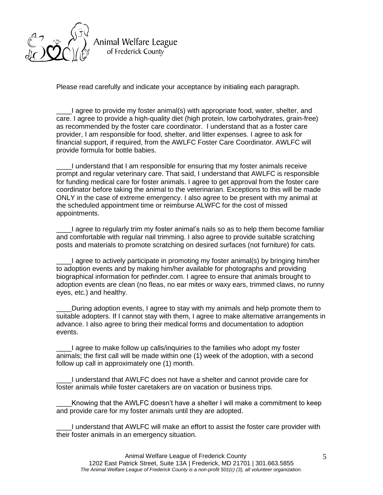

Animal Welfare League of Frederick County

Please read carefully and indicate your acceptance by initialing each paragraph.

\_\_\_\_I agree to provide my foster animal(s) with appropriate food, water, shelter, and care. I agree to provide a high-quality diet (high protein, low carbohydrates, grain-free) as recommended by the foster care coordinator. I understand that as a foster care provider, I am responsible for food, shelter, and litter expenses. I agree to ask for financial support, if required, from the AWLFC Foster Care Coordinator. AWLFC will provide formula for bottle babies.

\_\_\_\_I understand that I am responsible for ensuring that my foster animals receive prompt and regular veterinary care. That said, I understand that AWLFC is responsible for funding medical care for foster animals. I agree to get approval from the foster care coordinator before taking the animal to the veterinarian. Exceptions to this will be made ONLY in the case of extreme emergency. I also agree to be present with my animal at the scheduled appointment time or reimburse ALWFC for the cost of missed appointments.

\_\_\_\_I agree to regularly trim my foster animal's nails so as to help them become familiar and comfortable with regular nail trimming. I also agree to provide suitable scratching posts and materials to promote scratching on desired surfaces (not furniture) for cats.

\_\_\_\_I agree to actively participate in promoting my foster animal(s) by bringing him/her to adoption events and by making him/her available for photographs and providing biographical information for petfinder.com. I agree to ensure that animals brought to adoption events are clean (no fleas, no ear mites or waxy ears, trimmed claws, no runny eyes, etc.) and healthy.

\_\_\_\_During adoption events, I agree to stay with my animals and help promote them to suitable adopters. If I cannot stay with them, I agree to make alternative arrangements in advance. I also agree to bring their medical forms and documentation to adoption events.

I agree to make follow up calls/inquiries to the families who adopt my foster animals; the first call will be made within one (1) week of the adoption, with a second follow up call in approximately one (1) month.

\_\_\_\_I understand that AWLFC does not have a shelter and cannot provide care for foster animals while foster caretakers are on vacation or business trips.

Knowing that the AWLFC doesn't have a shelter I will make a commitment to keep and provide care for my foster animals until they are adopted.

\_\_\_\_I understand that AWLFC will make an effort to assist the foster care provider with their foster animals in an emergency situation.